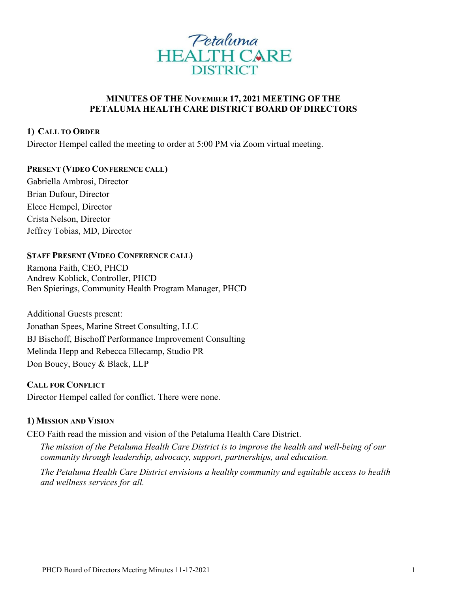

# **MINUTES OF THE NOVEMBER 17, 2021 MEETING OF THE PETALUMA HEALTH CARE DISTRICT BOARD OF DIRECTORS**

## **1) CALL TO ORDER**

Director Hempel called the meeting to order at 5:00 PM via Zoom virtual meeting.

### **PRESENT (VIDEO CONFERENCE CALL)**

Gabriella Ambrosi, Director Brian Dufour, Director Elece Hempel, Director Crista Nelson, Director Jeffrey Tobias, MD, Director

# **STAFF PRESENT (VIDEO CONFERENCE CALL)**

Ramona Faith, CEO, PHCD Andrew Koblick, Controller, PHCD Ben Spierings, Community Health Program Manager, PHCD

Additional Guests present: Jonathan Spees, Marine Street Consulting, LLC BJ Bischoff, Bischoff Performance Improvement Consulting Melinda Hepp and Rebecca Ellecamp, Studio PR Don Bouey, Bouey & Black, LLP

**CALL FOR CONFLICT** Director Hempel called for conflict. There were none.

## **1) MISSION AND VISION**

CEO Faith read the mission and vision of the Petaluma Health Care District.

*The mission of the Petaluma Health Care District is to improve the health and well-being of our community through leadership, advocacy, support, partnerships, and education.*

*The Petaluma Health Care District envisions a healthy community and equitable access to health and wellness services for all.*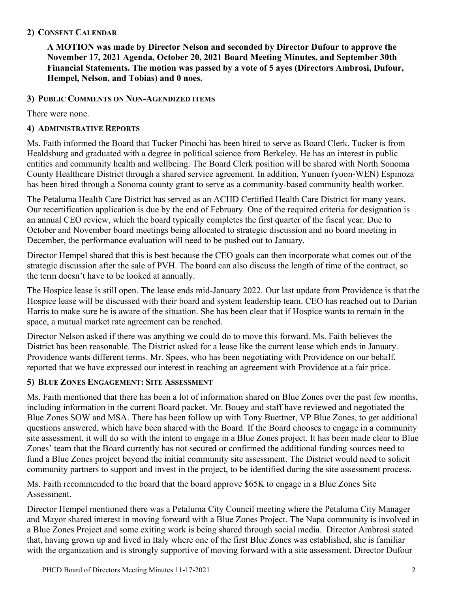# **2) CONSENT CALENDAR**

**A MOTION was made by Director Nelson and seconded by Director Dufour to approve the November 17, 2021 Agenda, October 20, 2021 Board Meeting Minutes, and September 30th Financial Statements. The motion was passed by a vote of 5 ayes (Directors Ambrosi, Dufour, Hempel, Nelson, and Tobias) and 0 noes.**

# **3) PUBLIC COMMENTS ON NON-AGENDIZED ITEMS**

There were none.

# **4) ADMINISTRATIVE REPORTS**

Ms. Faith informed the Board that Tucker Pinochi has been hired to serve as Board Clerk. Tucker is from Healdsburg and graduated with a degree in political science from Berkeley. He has an interest in public entities and community health and wellbeing. The Board Clerk position will be shared with North Sonoma County Healthcare District through a shared service agreement. In addition, Yunuen (yoon-WEN) Espinoza has been hired through a Sonoma county grant to serve as a community-based community health worker.

The Petaluma Health Care District has served as an ACHD Certified Health Care District for many years. Our recertification application is due by the end of February. One of the required criteria for designation is an annual CEO review, which the board typically completes the first quarter of the fiscal year. Due to October and November board meetings being allocated to strategic discussion and no board meeting in December, the performance evaluation will need to be pushed out to January.

Director Hempel shared that this is best because the CEO goals can then incorporate what comes out of the strategic discussion after the sale of PVH. The board can also discuss the length of time of the contract, so the term doesn't have to be looked at annually.

The Hospice lease is still open. The lease ends mid-January 2022. Our last update from Providence is that the Hospice lease will be discussed with their board and system leadership team. CEO has reached out to Darian Harris to make sure he is aware of the situation. She has been clear that if Hospice wants to remain in the space, a mutual market rate agreement can be reached.

Director Nelson asked if there was anything we could do to move this forward. Ms. Faith believes the District has been reasonable. The District asked for a lease like the current lease which ends in January. Providence wants different terms. Mr. Spees, who has been negotiating with Providence on our behalf, reported that we have expressed our interest in reaching an agreement with Providence at a fair price.

# **5) BLUE ZONES ENGAGEMENT: SITE ASSESSMENT**

Ms. Faith mentioned that there has been a lot of information shared on Blue Zones over the past few months, including information in the current Board packet. Mr. Bouey and staff have reviewed and negotiated the Blue Zones SOW and MSA. There has been follow up with Tony Buettner, VP Blue Zones, to get additional questions answered, which have been shared with the Board. If the Board chooses to engage in a community site assessment, it will do so with the intent to engage in a Blue Zones project. It has been made clear to Blue Zones' team that the Board currently has not secured or confirmed the additional funding sources need to fund a Blue Zones project beyond the initial community site assessment. The District would need to solicit community partners to support and invest in the project, to be identified during the site assessment process.

Ms. Faith recommended to the board that the board approve \$65K to engage in a Blue Zones Site Assessment.

Director Hempel mentioned there was a Petaluma City Council meeting where the Petaluma City Manager and Mayor shared interest in moving forward with a Blue Zones Project. The Napa community is involved in a Blue Zones Project and some exiting work is being shared through social media. Director Ambrosi stated that, having grown up and lived in Italy where one of the first Blue Zones was established, she is familiar with the organization and is strongly supportive of moving forward with a site assessment. Director Dufour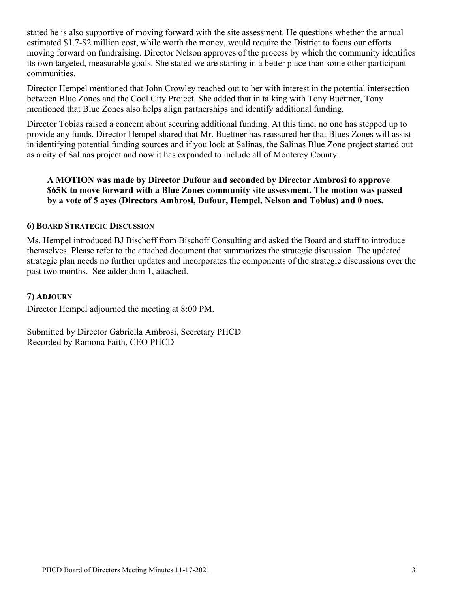stated he is also supportive of moving forward with the site assessment. He questions whether the annual estimated \$1.7-\$2 million cost, while worth the money, would require the District to focus our efforts moving forward on fundraising. Director Nelson approves of the process by which the community identifies its own targeted, measurable goals. She stated we are starting in a better place than some other participant communities.

Director Hempel mentioned that John Crowley reached out to her with interest in the potential intersection between Blue Zones and the Cool City Project. She added that in talking with Tony Buettner, Tony mentioned that Blue Zones also helps align partnerships and identify additional funding.

Director Tobias raised a concern about securing additional funding. At this time, no one has stepped up to provide any funds. Director Hempel shared that Mr. Buettner has reassured her that Blues Zones will assist in identifying potential funding sources and if you look at Salinas, the Salinas Blue Zone project started out as a city of Salinas project and now it has expanded to include all of Monterey County.

## **A MOTION was made by Director Dufour and seconded by Director Ambrosi to approve \$65K to move forward with a Blue Zones community site assessment. The motion was passed by a vote of 5 ayes (Directors Ambrosi, Dufour, Hempel, Nelson and Tobias) and 0 noes.**

### **6) BOARD STRATEGIC DISCUSSION**

Ms. Hempel introduced BJ Bischoff from Bischoff Consulting and asked the Board and staff to introduce themselves. Please refer to the attached document that summarizes the strategic discussion. The updated strategic plan needs no further updates and incorporates the components of the strategic discussions over the past two months. See addendum 1, attached.

#### **7) ADJOURN**

Director Hempel adjourned the meeting at 8:00 PM.

Submitted by Director Gabriella Ambrosi, Secretary PHCD Recorded by Ramona Faith, CEO PHCD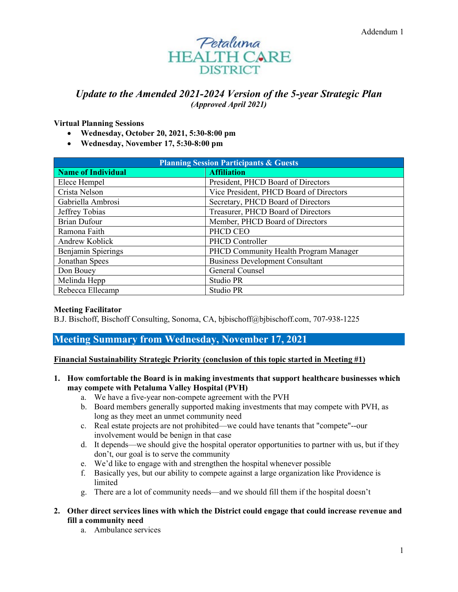

# *Update to the Amended 2021-2024 Version of the 5-year Strategic Plan (Approved April 2021)*

**Virtual Planning Sessions**

- **Wednesday, October 20, 2021, 5:30-8:00 pm**
- **Wednesday, November 17, 5:30-8:00 pm**

| <b>Planning Session Participants &amp; Guests</b> |                                         |
|---------------------------------------------------|-----------------------------------------|
| <b>Name of Individual</b>                         | <b>Affiliation</b>                      |
| Elece Hempel                                      | President, PHCD Board of Directors      |
| Crista Nelson                                     | Vice President, PHCD Board of Directors |
| Gabriella Ambrosi                                 | Secretary, PHCD Board of Directors      |
| Jeffrey Tobias                                    | Treasurer, PHCD Board of Directors      |
| <b>Brian Dufour</b>                               | Member, PHCD Board of Directors         |
| Ramona Faith                                      | PHCD CEO                                |
| Andrew Koblick                                    | PHCD Controller                         |
| Benjamin Spierings                                | PHCD Community Health Program Manager   |
| Jonathan Spees                                    | <b>Business Development Consultant</b>  |
| Don Bouey                                         | General Counsel                         |
| Melinda Hepp                                      | Studio PR                               |
| Rebecca Ellecamp                                  | Studio PR                               |

#### **Meeting Facilitator**

B.J. Bischoff, Bischoff Consulting, Sonoma, CA, bjbischoff@bjbischoff.com, 707-938-1225

### **Meeting Summary from Wednesday, November 17, 2021**

#### **Financial Sustainability Strategic Priority (conclusion of this topic started in Meeting #1)**

- **1. How comfortable the Board is in making investments that support healthcare businesses which may compete with Petaluma Valley Hospital (PVH)**
	- a. We have a five-year non-compete agreement with the PVH
	- b. Board members generally supported making investments that may compete with PVH, as long as they meet an unmet community need
	- c. Real estate projects are not prohibited—we could have tenants that "compete"--our involvement would be benign in that case
	- d. It depends—we should give the hospital operator opportunities to partner with us, but if they don't, our goal is to serve the community
	- e. We'd like to engage with and strengthen the hospital whenever possible
	- f. Basically yes, but our ability to compete against a large organization like Providence is limited
	- g. There are a lot of community needs—and we should fill them if the hospital doesn't
- **2. Other direct services lines with which the District could engage that could increase revenue and fill a community need**
	- a. Ambulance services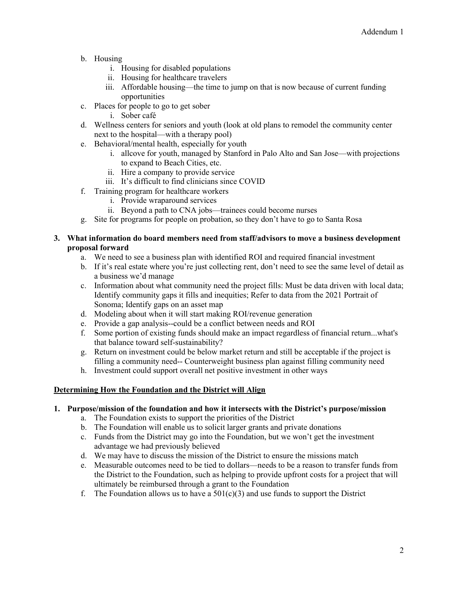- b. Housing
	- i. Housing for disabled populations
	- ii. Housing for healthcare travelers
	- iii. Affordable housing—the time to jump on that is now because of current funding opportunities
- c. Places for people to go to get sober
	- i. Sober café
- d. Wellness centers for seniors and youth (look at old plans to remodel the community center next to the hospital—with a therapy pool)
- e. Behavioral/mental health, especially for youth
	- i. allcove for youth, managed by Stanford in Palo Alto and San Jose—with projections to expand to Beach Cities, etc.
	- ii. Hire a company to provide service
	- iii. It's difficult to find clinicians since COVID
- f. Training program for healthcare workers
	- i. Provide wraparound services
	- ii. Beyond a path to CNA jobs—trainees could become nurses
- g. Site for programs for people on probation, so they don't have to go to Santa Rosa

#### **3. What information do board members need from staff/advisors to move a business development proposal forward**

- a. We need to see a business plan with identified ROI and required financial investment
- b. If it's real estate where you're just collecting rent, don't need to see the same level of detail as a business we'd manage
- c. Information about what community need the project fills: Must be data driven with local data; Identify community gaps it fills and inequities; Refer to data from the 2021 Portrait of Sonoma; Identify gaps on an asset map
- d. Modeling about when it will start making ROI/revenue generation
- e. Provide a gap analysis--could be a conflict between needs and ROI
- f. Some portion of existing funds should make an impact regardless of financial return...what's that balance toward self-sustainability?
- g. Return on investment could be below market return and still be acceptable if the project is filling a community need-- Counterweight business plan against filling community need
- h. Investment could support overall net positive investment in other ways

#### **Determining How the Foundation and the District will Align**

#### **1. Purpose/mission of the foundation and how it intersects with the District's purpose/mission**

- a. The Foundation exists to support the priorities of the District
- b. The Foundation will enable us to solicit larger grants and private donations
- c. Funds from the District may go into the Foundation, but we won't get the investment advantage we had previously believed
- d. We may have to discuss the mission of the District to ensure the missions match
- e. Measurable outcomes need to be tied to dollars—needs to be a reason to transfer funds from the District to the Foundation, such as helping to provide upfront costs for a project that will ultimately be reimbursed through a grant to the Foundation
- f. The Foundation allows us to have a  $501(c)(3)$  and use funds to support the District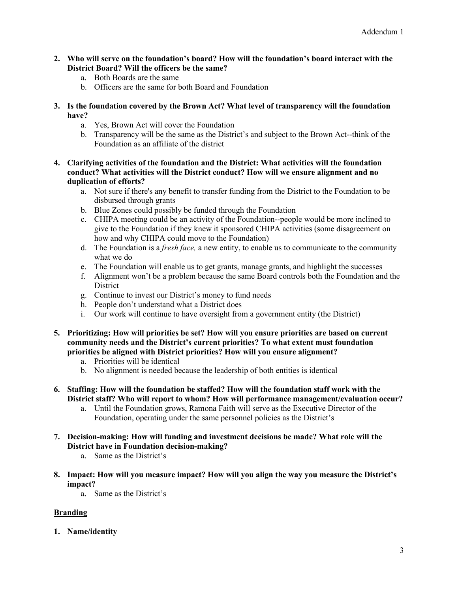- **2. Who will serve on the foundation's board? How will the foundation's board interact with the District Board? Will the officers be the same?**
	- a. Both Boards are the same
	- b. Officers are the same for both Board and Foundation
- **3. Is the foundation covered by the Brown Act? What level of transparency will the foundation have?**
	- a. Yes, Brown Act will cover the Foundation
	- b. Transparency will be the same as the District's and subject to the Brown Act--think of the Foundation as an affiliate of the district
- **4. Clarifying activities of the foundation and the District: What activities will the foundation conduct? What activities will the District conduct? How will we ensure alignment and no duplication of efforts?**
	- a. Not sure if there's any benefit to transfer funding from the District to the Foundation to be disbursed through grants
	- b. Blue Zones could possibly be funded through the Foundation
	- c. CHIPA meeting could be an activity of the Foundation--people would be more inclined to give to the Foundation if they knew it sponsored CHIPA activities (some disagreement on how and why CHIPA could move to the Foundation)
	- d. The Foundation is a *fresh face,* a new entity, to enable us to communicate to the community what we do
	- e. The Foundation will enable us to get grants, manage grants, and highlight the successes
	- f. Alignment won't be a problem because the same Board controls both the Foundation and the **District**
	- g. Continue to invest our District's money to fund needs
	- h. People don't understand what a District does
	- i. Our work will continue to have oversight from a government entity (the District)
- **5. Prioritizing: How will priorities be set? How will you ensure priorities are based on current community needs and the District's current priorities? To what extent must foundation priorities be aligned with District priorities? How will you ensure alignment?**
	- a. Priorities will be identical
	- b. No alignment is needed because the leadership of both entities is identical
- **6. Staffing: How will the foundation be staffed? How will the foundation staff work with the District staff? Who will report to whom? How will performance management/evaluation occur?**
	- a. Until the Foundation grows, Ramona Faith will serve as the Executive Director of the Foundation, operating under the same personnel policies as the District's
- **7. Decision-making: How will funding and investment decisions be made? What role will the District have in Foundation decision-making?**
	- a. Same as the District's
- **8. Impact: How will you measure impact? How will you align the way you measure the District's impact?**
	- a. Same as the District's

### **Branding**

**1. Name/identity**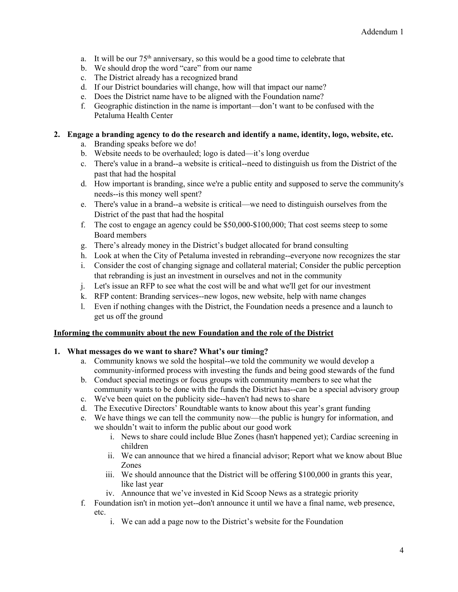- a. It will be our  $75<sup>th</sup>$  anniversary, so this would be a good time to celebrate that
- b. We should drop the word "care" from our name
- c. The District already has a recognized brand
- d. If our District boundaries will change, how will that impact our name?
- e. Does the District name have to be aligned with the Foundation name?
- f. Geographic distinction in the name is important—don't want to be confused with the Petaluma Health Center

#### **2. Engage a branding agency to do the research and identify a name, identity, logo, website, etc.**

- a. Branding speaks before we do!
- b. Website needs to be overhauled; logo is dated—it's long overdue
- c. There's value in a brand--a website is critical--need to distinguish us from the District of the past that had the hospital
- d. How important is branding, since we're a public entity and supposed to serve the community's needs--is this money well spent?
- e. There's value in a brand--a website is critical—we need to distinguish ourselves from the District of the past that had the hospital
- f. The cost to engage an agency could be \$50,000-\$100,000; That cost seems steep to some Board members
- g. There's already money in the District's budget allocated for brand consulting
- h. Look at when the City of Petaluma invested in rebranding--everyone now recognizes the star
- i. Consider the cost of changing signage and collateral material; Consider the public perception that rebranding is just an investment in ourselves and not in the community
- j. Let's issue an RFP to see what the cost will be and what we'll get for our investment
- k. RFP content: Branding services--new logos, new website, help with name changes
- l. Even if nothing changes with the District, the Foundation needs a presence and a launch to get us off the ground

#### **Informing the community about the new Foundation and the role of the District**

#### **1. What messages do we want to share? What's our timing?**

- a. Community knows we sold the hospital--we told the community we would develop a community-informed process with investing the funds and being good stewards of the fund
- b. Conduct special meetings or focus groups with community members to see what the community wants to be done with the funds the District has--can be a special advisory group
- c. We've been quiet on the publicity side--haven't had news to share
- d. The Executive Directors' Roundtable wants to know about this year's grant funding
- e. We have things we can tell the community now—the public is hungry for information, and we shouldn't wait to inform the public about our good work
	- i. News to share could include Blue Zones (hasn't happened yet); Cardiac screening in children
	- ii. We can announce that we hired a financial advisor; Report what we know about Blue Zones
	- iii. We should announce that the District will be offering \$100,000 in grants this year, like last year
	- iv. Announce that we've invested in Kid Scoop News as a strategic priority
- f. Foundation isn't in motion yet--don't announce it until we have a final name, web presence, etc.
	- i. We can add a page now to the District's website for the Foundation